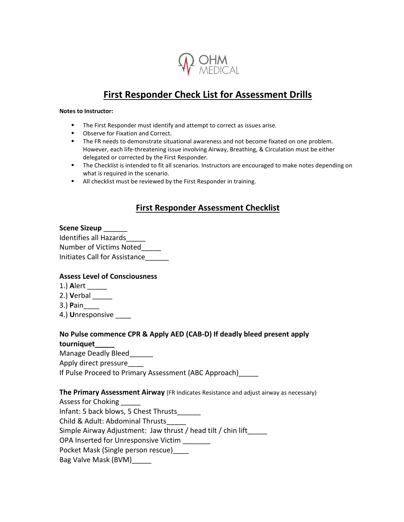

# **First Responder Check List for Assessment Drills**

#### **Notes to Instructor:**

- The First Responder must identify and attempt to correct as issues arise.
- Observe for Fixation and Correct.
- **The FR needs to demonstrate situational awareness and not become fixated on one problem.** However, each life-threatening issue involving Airway, Breathing, & Circulation must be either delegated or corrected by the First Responder.
- **•** The Checklist is intended to fit all scenarios. Instructors are encouraged to make notes depending on what is required in the scenario.
- All checklist must be reviewed by the First Responder in training.

### **First Responder Assessment Checklist**

### **Scene Sizeup** \_\_\_\_\_\_

| Identifies all Hazards               |
|--------------------------------------|
| Number of Victims Noted              |
| <b>Initiates Call for Assistance</b> |

#### **Assess Level of Consciousness**

- 1.) **A**lert \_\_\_\_\_
- 2.) **V**erbal \_\_\_\_\_
- 3.) **P**ain\_\_\_\_
- 4.) **U**nresponsive

## **No Pulse commence CPR & Apply AED (CAB-D) If deadly bleed present apply**

**tourniquet\_\_\_\_\_**

Manage Deadly Bleed\_\_\_\_\_\_

Apply direct pressure\_\_\_\_

If Pulse Proceed to Primary Assessment (ABC Approach)

#### **The Primary Assessment Airway** (FR Indicates Resistance and adjust airway as necessary)

Assess for Choking

Infant: 5 back blows, 5 Chest Thrusts\_\_\_\_\_\_

Child & Adult: Abdominal Thrusts\_\_\_\_\_

Simple Airway Adjustment: Jaw thrust / head tilt / chin lift\_\_\_\_\_

OPA Inserted for Unresponsive Victim \_\_\_\_\_\_\_

Pocket Mask (Single person rescue)\_\_\_\_

Bag Valve Mask (BVM)